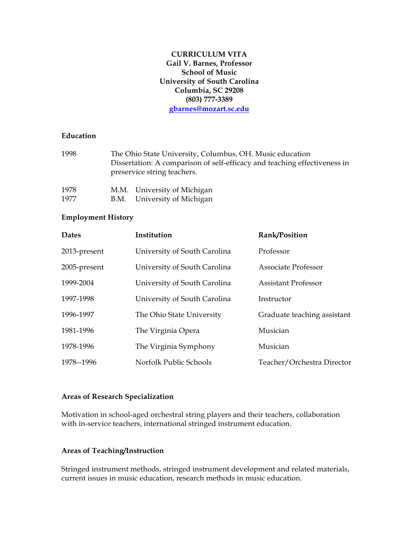## **CURRICULUM VITA Gail V. Barnes, Professor School of Music University of South Carolina Columbia, SC 29208 (803) 777-3389 gbarnes@mozart.sc.edu**

### **Education**

| 1998 | The Ohio State University, Columbus, OH. Music education<br>Dissertation: A comparison of self-efficacy and teaching effectiveness in<br>preservice string teachers. |
|------|----------------------------------------------------------------------------------------------------------------------------------------------------------------------|
| 1978 | M.M. University of Michigan                                                                                                                                          |
| 1977 | B.M. University of Michigan                                                                                                                                          |

### **Employment History**

| <b>Dates</b> | Institution                  | Rank/Position               |
|--------------|------------------------------|-----------------------------|
| 2013-present | University of South Carolina | Professor                   |
| 2005-present | University of South Carolina | Associate Professor         |
| 1999-2004    | University of South Carolina | <b>Assistant Professor</b>  |
| 1997-1998    | University of South Carolina | Instructor                  |
| 1996-1997    | The Ohio State University    | Graduate teaching assistant |
| 1981-1996    | The Virginia Opera           | Musician                    |
| 1978-1996    | The Virginia Symphony        | Musician                    |
| 1978--1996   | Norfolk Public Schools       | Teacher/Orchestra Director  |

### **Areas of Research Specialization**

Motivation in school-aged orchestral string players and their teachers, collaboration with in-service teachers, international stringed instrument education.

### **Areas of Teaching/Instruction**

Stringed instrument methods, stringed instrument development and related materials, current issues in music education, research methods in music education.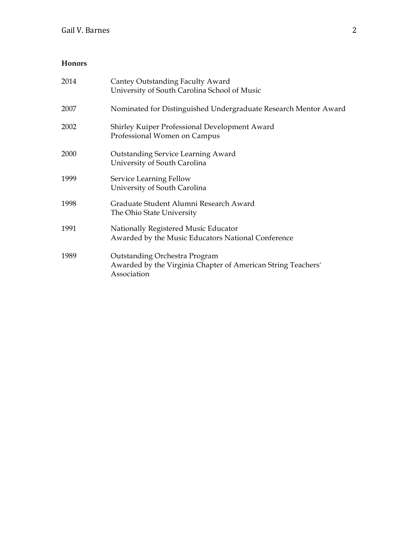# **Honors**

| 2014 | Cantey Outstanding Faculty Award<br>University of South Carolina School of Music                             |
|------|--------------------------------------------------------------------------------------------------------------|
| 2007 | Nominated for Distinguished Undergraduate Research Mentor Award                                              |
| 2002 | Shirley Kuiper Professional Development Award<br>Professional Women on Campus                                |
| 2000 | <b>Outstanding Service Learning Award</b><br>University of South Carolina                                    |
| 1999 | Service Learning Fellow<br>University of South Carolina                                                      |
| 1998 | Graduate Student Alumni Research Award<br>The Ohio State University                                          |
| 1991 | Nationally Registered Music Educator<br>Awarded by the Music Educators National Conference                   |
| 1989 | Outstanding Orchestra Program<br>Awarded by the Virginia Chapter of American String Teachers'<br>Association |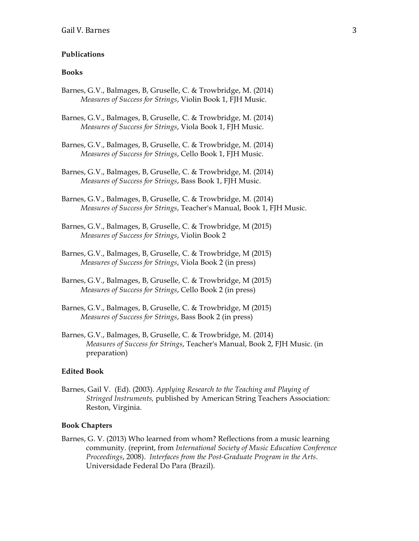#### **Publications**

#### **Books**

- Barnes, G.V., Balmages, B, Gruselle, C. & Trowbridge, M. (2014) *Measures of Success for Strings*, Violin Book 1, FJH Music.
- Barnes, G.V., Balmages, B, Gruselle, C. & Trowbridge, M. (2014) *Measures of Success for Strings*, Viola Book 1, FJH Music.
- Barnes, G.V., Balmages, B, Gruselle, C. & Trowbridge, M. (2014) *Measures of Success for Strings*, Cello Book 1, FJH Music.
- Barnes, G.V., Balmages, B, Gruselle, C. & Trowbridge, M. (2014) *Measures of Success for Strings*, Bass Book 1, FJH Music.
- Barnes, G.V., Balmages, B, Gruselle, C. & Trowbridge, M. (2014) *Measures of Success for Strings*, Teacher's Manual, Book 1, FJH Music.
- Barnes, G.V., Balmages, B, Gruselle, C. & Trowbridge, M (2015) *Measures of Success for Strings*, Violin Book 2
- Barnes, G.V., Balmages, B, Gruselle, C. & Trowbridge, M (2015) *Measures of Success for Strings*, Viola Book 2 (in press)
- Barnes, G.V., Balmages, B, Gruselle, C. & Trowbridge, M (2015) *Measures of Success for Strings*, Cello Book 2 (in press)
- Barnes, G.V., Balmages, B, Gruselle, C. & Trowbridge, M (2015) *Measures of Success for Strings*, Bass Book 2 (in press)
- Barnes, G.V., Balmages, B, Gruselle, C. & Trowbridge, M. (2014) *Measures of Success for Strings*, Teacher's Manual, Book 2, FJH Music. (in preparation)

#### **Edited Book**

Barnes, Gail V. (Ed). (2003). *Applying Research to the Teaching and Playing of Stringed Instruments,* published by American String Teachers Association: Reston, Virginia.

#### **Book Chapters**

Barnes, G. V. (2013) Who learned from whom? Reflections from a music learning community. (reprint, from *International Society of Music Education Conference Proceedings*, 2008). *Interfaces from the Post-Graduate Program in the Arts*. Universidade Federal Do Para (Brazil).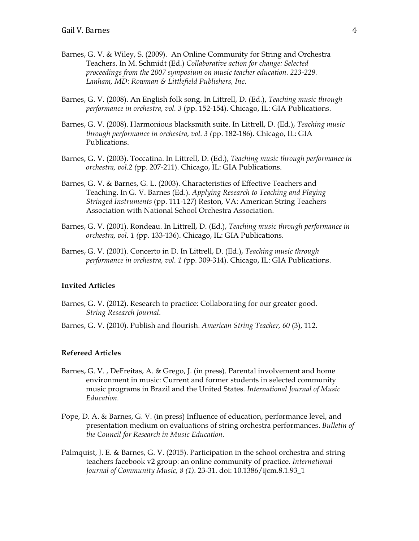- Barnes, G. V. & Wiley, S. (2009). An Online Community for String and Orchestra Teachers. In M. Schmidt (Ed.) *Collaborative action for change: Selected proceedings from the 2007 symposium on music teacher education. 223-229. Lanham, MD: Rowman & Littlefield Publishers, Inc.*
- Barnes, G. V. (2008). An English folk song. In Littrell, D. (Ed.), *Teaching music through performance in orchestra, vol. 3* (pp. 152-154). Chicago, IL: GIA Publications.
- Barnes, G. V. (2008). Harmonious blacksmith suite. In Littrell, D. (Ed.), *Teaching music through performance in orchestra, vol. 3 (*pp. 182-186). Chicago, IL: GIA Publications.
- Barnes, G. V. (2003). Toccatina. In Littrell, D. (Ed.), *Teaching music through performance in orchestra, vol.2 (*pp. 207-211). Chicago, IL: GIA Publications.
- Barnes, G. V. & Barnes, G. L. (2003). Characteristics of Effective Teachers and Teaching. In G. V. Barnes (Ed.). *Applying Research to Teaching and Playing Stringed Instruments* (pp. 111-127) Reston, VA: American String Teachers Association with National School Orchestra Association.
- Barnes, G. V. (2001). Rondeau. In Littrell, D. (Ed.), *Teaching music through performance in orchestra, vol. 1 (*pp. 133-136). Chicago, IL: GIA Publications.
- Barnes, G. V. (2001). Concerto in D. In Littrell, D. (Ed.), *Teaching music through performance in orchestra, vol. 1 (*pp*.* 309-314). Chicago, IL: GIA Publications.

### **Invited Articles**

- Barnes, G. V. (2012). Research to practice: Collaborating for our greater good. *String Research Journal.*
- Barnes, G. V. (2010). Publish and flourish. *American String Teacher, 60* (3), 112.

### **Refereed Articles**

- Barnes, G. V. , DeFreitas, A. & Grego, J. (in press). Parental involvement and home environment in music: Current and former students in selected community music programs in Brazil and the United States. *International Journal of Music Education.*
- Pope, D. A. & Barnes, G. V. (in press) Influence of education, performance level, and presentation medium on evaluations of string orchestra performances. *Bulletin of the Council for Research in Music Education.*
- Palmquist, J. E. & Barnes, G. V. (2015). Participation in the school orchestra and string teachers facebook v2 group: an online community of practice. *International Journal of Community Music, 8 (1).* 23-31. doi: 10.1386/ijcm.8.1.93\_1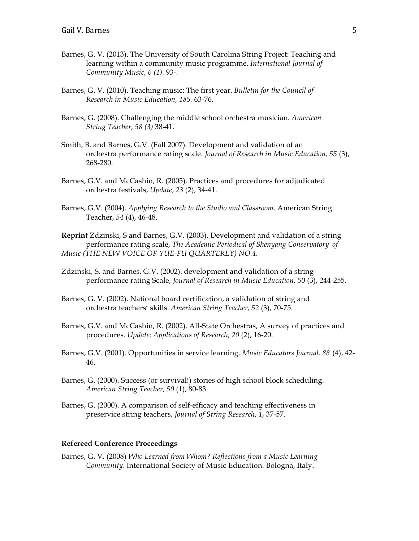- Barnes, G. V. (2013). The University of South Carolina String Project: Teaching and learning within a community music programme. *International Journal of Community Music, 6 (1).* 93-.
- Barnes, G. V. (2010). Teaching music: The first year. *Bulletin for the Council of Research in Music Education, 185.* 63-76.
- Barnes, G. (2008). Challenging the middle school orchestra musician. *American String Teacher, 58 (3)* 38-41.
- Smith, B. and Barnes, G.V. (Fall 2007). Development and validation of an orchestra performance rating scale. *Journal of Research in Music Education, 55* (3), 268-280.
- Barnes, G.V. and McCashin, R. (2005). Practices and procedures for adjudicated orchestra festivals, *Update*, *23* (2), 34-41.
- Barnes, G.V. (2004). *Applying Research to the Studio and Classroom*. American String Teacher, *54* (4), 46-48.
- **Reprint** Zdzinski, S and Barnes, G.V. (2003). Development and validation of a string performance rating scale, *The Academic Periodical of Shenyang Conservatory of Music (THE NEW VOICE OF YUE-FU QUARTERLY) NO.4.*
- Zdzinski, S. and Barnes, G.V. (2002). development and validation of a string performance rating Scale, *Journal of Research in Music Education. 50* (3), 244-255.
- Barnes, G. V. (2002). National board certification, a validation of string and orchestra teachers' skills. *American String Teacher, 52* (3), 70-75.
- Barnes, G.V. and McCashin, R*.* (2002). All-State Orchestras, A survey of practices and procedures*. Update: Applications of Research, 20* (2), 16-20.
- Barnes, G.V. (2001). Opportunities in service learning. *Music Educators Journal, 88* (4), 42- 46.
- Barnes, G. (2000). Success (or survival!) stories of high school block scheduling. *American String Teacher, 50* (1), 80-83.
- Barnes, G. (2000). A comparison of self-efficacy and teaching effectiveness in preservice string teachers, *Journal of String Research*, *1*, 37-57.

## **Refereed Conference Proceedings**

Barnes, G. V. (2008) *Who Learned from Whom? Reflections from a Music Learning Community*. International Society of Music Education. Bologna, Italy.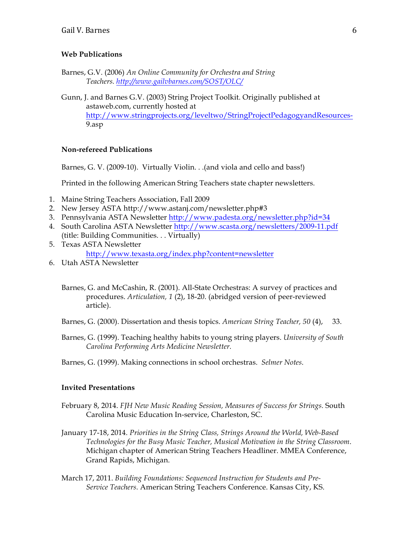### **Web Publications**

- Barnes, G.V. (2006) *An Online Community for Orchestra and String Teachers. http://www.gailvbarnes.com/SOST/OLC/*
- Gunn, J. and Barnes G.V. (2003) String Project Toolkit. Originally published at astaweb.com, currently hosted at http://www.stringprojects.org/leveltwo/StringProjectPedagogyandResources-9.asp

#### **Non-refereed Publications**

Barnes, G. V. (2009-10). Virtually Violin. . .(and viola and cello and bass!)

Printed in the following American String Teachers state chapter newsletters.

- 1. Maine String Teachers Association, Fall 2009
- 2. New Jersey ASTA http://www.astanj.com/newsletter.php#3
- 3. Pennsylvania ASTA Newsletter http://www.padesta.org/newsletter.php?id=34
- 4. South Carolina ASTA Newsletter http://www.scasta.org/newsletters/2009-11.pdf (title: Building Communities. . . Virtually)
- 5. Texas ASTA Newsletter http://www.texasta.org/index.php?content=newsletter
- 6. Utah ASTA Newsletter
	- Barnes, G. and McCashin, R. (2001). All-State Orchestras: A survey of practices and procedures. *Articulation, 1* (2), 18-20. (abridged version of peer-reviewed article).
	- Barnes, G. (2000). Dissertation and thesis topics. *American String Teacher, 50* (4), 33.
	- Barnes, G. (1999). Teaching healthy habits to young string players. *University of South Carolina Performing Arts Medicine Newsletter.*
	- Barnes, G. (1999). Making connections in school orchestras. *Selmer Notes*.

### **Invited Presentations**

- February 8, 2014. *FJH New Music Reading Session, Measures of Success for Strings.* South Carolina Music Education In-service, Charleston, SC.
- January 17-18, 2014. *Priorities in the String Class, Strings Around the World, Web-Based Technologies for the Busy Music Teacher, Musical Motivation in the String Classroom*. Michigan chapter of American String Teachers Headliner. MMEA Conference, Grand Rapids, Michigan.
- March 17, 2011. *Building Foundations: Sequenced Instruction for Students and Pre-Service Teachers.* American String Teachers Conference. Kansas City, KS.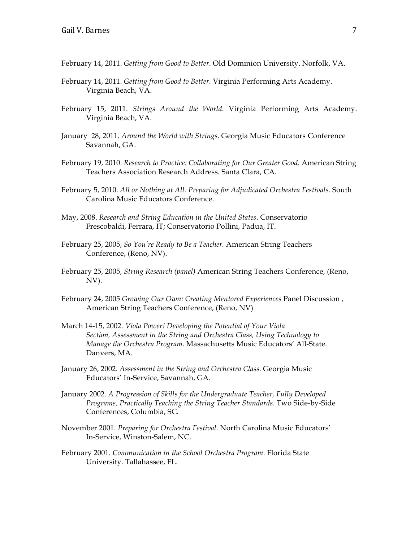- February 14, 2011. *Getting from Good to Better*. Old Dominion University. Norfolk, VA.
- February 14, 2011. *Getting from Good to Better.* Virginia Performing Arts Academy. Virginia Beach, VA.
- February 15, 2011. *Strings Around the World*. Virginia Performing Arts Academy. Virginia Beach, VA.
- January 28, 2011. *Around the World with Strings*. Georgia Music Educators Conference Savannah, GA.
- February 19, 2010. *Research to Practice: Collaborating for Our Greater Good.* American String Teachers Association Research Address. Santa Clara, CA.
- February 5, 2010. *All or Nothing at All. Preparing for Adjudicated Orchestra Festivals.* South Carolina Music Educators Conference.
- May, 2008. *Research and String Education in the United States*. Conservatorio Frescobaldi, Ferrara, IT; Conservatorio Pollini, Padua, IT.
- February 25, 2005, *So You're Ready to Be a Teacher.* American String Teachers Conference, (Reno, NV).
- February 25, 2005, *String Research (panel)* American String Teachers Conference, (Reno, NV).
- February 24, 2005 *Growing Our Own: Creating Mentored Experiences* Panel Discussion , American String Teachers Conference, (Reno, NV)
- March 14-15, 2002. *Viola Power! Developing the Potential of Your Viola Section, Assessment in the String and Orchestra Class, Using Technology to Manage the Orchestra Program.* Massachusetts Music Educators' All-State. Danvers, MA.
- January 26, 2002. *Assessment in the String and Orchestra Class.* Georgia Music Educators' In-Service, Savannah, GA.
- January 2002. *A Progression of Skills for the Undergraduate Teacher, Fully Developed Programs, Practically Teaching the String Teacher Standards.* Two Side-by-Side Conferences, Columbia, SC.
- November 2001. *Preparing for Orchestra Festival.* North Carolina Music Educators' In-Service, Winston-Salem, NC.
- February 2001. *Communication in the School Orchestra Program.* Florida State University. Tallahassee, FL.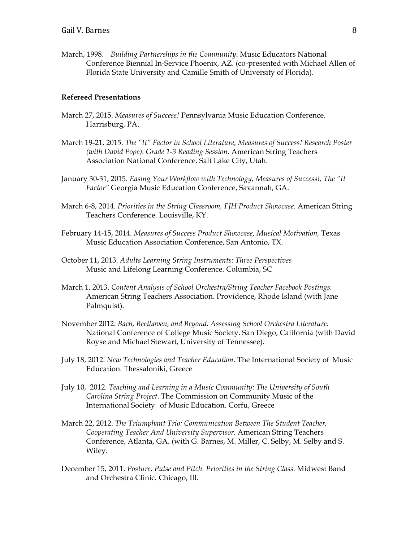March, 1998. *Building Partnerships in the Community*. Music Educators National Conference Biennial In-Service Phoenix, AZ. (co-presented with Michael Allen of Florida State University and Camille Smith of University of Florida).

#### **Refereed Presentations**

- March 27, 2015. *Measures of Success!* Pennsylvania Music Education Conference. Harrisburg, PA.
- March 19-21, 2015. *The "It" Factor in School Literature, Measures of Success! Research Poster (with David Pope). Grade 1-3 Reading Session.* American String Teachers Association National Conference. Salt Lake City, Utah.
- January 30-31, 2015. *Easing Your Workflow with Technology, Measures of Success!, The "It Factor"* Georgia Music Education Conference, Savannah, GA.
- March 6-8, 2014. *Priorities in the String Classroom, FJH Product Showcase*. American String Teachers Conference. Louisville, KY.
- February 14-15, 2014. *Measures of Success Product Showcase, Musical Motivation,* Texas Music Education Association Conference, San Antonio, TX.
- October 11, 2013. *Adults Learning String Instruments: Three Perspectives* Music and Lifelong Learning Conference. Columbia, SC
- March 1, 2013. *Content Analysis of School Orchestra/String Teacher Facebook Postings.* American String Teachers Association. Providence, Rhode Island (with Jane Palmquist).
- November 2012. *Bach, Beethoven, and Beyond: Assessing School Orchestra Literature.* National Conference of College Music Society. San Diego, California (with David Royse and Michael Stewart, University of Tennessee).
- July 18, 2012. *New Technologies and Teacher Education*. The International Society of Music Education. Thessaloniki, Greece
- July 10, 2012. *Teaching and Learning in a Music Community: The University of South Carolina String Project*. The Commission on Community Music of the International Society of Music Education. Corfu, Greece
- March 22, 2012. *The Triumphant Trio: Communication Between The Student Teacher, Cooperating Teacher And University Supervisor*. American String Teachers Conference, Atlanta, GA. (with G. Barnes, M. Miller, C. Selby, M. Selby and S. Wiley.
- December 15, 2011. *Posture, Pulse and Pitch. Priorities in the String Class.* Midwest Band and Orchestra Clinic. Chicago, Ill.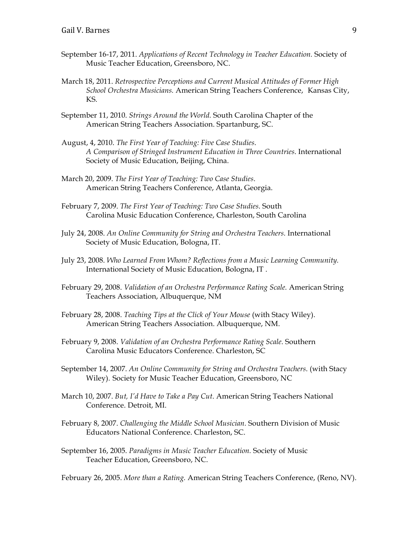- September 16-17, 2011. *Applications of Recent Technology in Teacher Education.* Society of Music Teacher Education, Greensboro, NC.
- March 18, 2011. *Retrospective Perceptions and Current Musical Attitudes of Former High School Orchestra Musicians.* American String Teachers Conference, Kansas City, KS.
- September 11, 2010. *Strings Around the World.* South Carolina Chapter of the American String Teachers Association. Spartanburg, SC.
- August, 4, 2010. *The First Year of Teaching: Five Case Studies*. *A Comparison of Stringed Instrument Education in Three Countries*. International Society of Music Education, Beijing, China.
- March 20, 2009. *The First Year of Teaching: Two Case Studies*. American String Teachers Conference, Atlanta, Georgia.
- February 7, 2009. *The First Year of Teaching: Two Case Studies*. South Carolina Music Education Conference, Charleston, South Carolina
- July 24, 2008. *An Online Community for String and Orchestra Teachers.* International Society of Music Education, Bologna, IT.
- July 23, 2008. *Who Learned From Whom? Reflections from a Music Learning Community.* International Society of Music Education, Bologna, IT .
- February 29, 2008. *Validation of an Orchestra Performance Rating Scale.* American String Teachers Association, Albuquerque, NM
- February 28, 2008. *Teaching Tips at the Click of Your Mouse* (with Stacy Wiley). American String Teachers Association. Albuquerque, NM.
- February 9, 2008. *Validation of an Orchestra Performance Rating Scale*. Southern Carolina Music Educators Conference. Charleston, SC
- September 14, 2007. *An Online Community for String and Orchestra Teachers*. (with Stacy Wiley). Society for Music Teacher Education, Greensboro, NC
- March 10, 2007. *But, I'd Have to Take a Pay Cut*. American String Teachers National Conference. Detroit, MI.
- February 8, 2007. *Challenging the Middle School Musician.* Southern Division of Music Educators National Conference. Charleston, SC.
- September 16, 2005. *Paradigms in Music Teacher Education.* Society of Music Teacher Education, Greensboro, NC.

February 26, 2005. *More than a Rating.* American String Teachers Conference, (Reno, NV).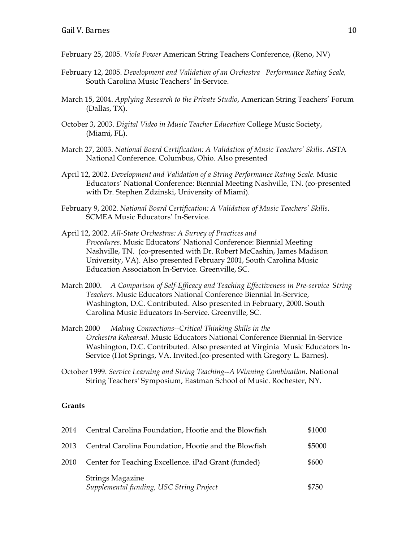- February 25, 2005. *Viola Power* American String Teachers Conference, (Reno, NV)
- February 12, 2005. *Development and Validation of an Orchestra Performance Rating Scale,*  South Carolina Music Teachers' In-Service.
- March 15, 2004. *Applying Research to the Private Studio*, American String Teachers' Forum (Dallas, TX).
- October 3, 2003. *Digital Video in Music Teacher Education* College Music Society, (Miami, FL).
- March 27, 2003. *National Board Certification: A Validation of Music Teachers' Skills.* ASTA National Conference. Columbus, Ohio. Also presented
- April 12, 2002. *Development and Validation of a String Performance Rating Scale*. Music Educators' National Conference: Biennial Meeting Nashville, TN. (co-presented with Dr. Stephen Zdzinski, University of Miami).
- February 9, 2002. *National Board Certification: A Validation of Music Teachers' Skills.*  SCMEA Music Educators' In-Service.
- April 12, 2002. *All-State Orchestras: A Survey of Practices and Procedures*. Music Educators' National Conference: Biennial Meeting Nashville, TN. (co-presented with Dr. Robert McCashin, James Madison University, VA). Also presented February 2001, South Carolina Music Education Association In-Service. Greenville, SC.
- March 2000. *A Comparison of Self-Efficacy and Teaching Effectiveness in Pre-service String Teachers.* Music Educators National Conference Biennial In-Service, Washington, D.C. Contributed. Also presented in February, 2000. South Carolina Music Educators In-Service. Greenville, SC.
- March 2000 *Making Connections--Critical Thinking Skills in the Orchestra Rehearsal.* Music Educators National Conference Biennial In-Service Washington, D.C. Contributed. Also presented at Virginia Music Educators In-Service (Hot Springs, VA. Invited.(co-presented with Gregory L. Barnes).
- October 1999. *Service Learning and String Teaching--A Winning Combination.* National String Teachers' Symposium, Eastman School of Music. Rochester, NY.

#### **Grants**

| 2014 | Central Carolina Foundation, Hootie and the Blowfish         | \$1000 |
|------|--------------------------------------------------------------|--------|
| 2013 | Central Carolina Foundation, Hootie and the Blowfish         | \$5000 |
| 2010 | Center for Teaching Excellence. iPad Grant (funded)          | \$600  |
|      | Strings Magazine<br>Supplemental funding, USC String Project | \$750  |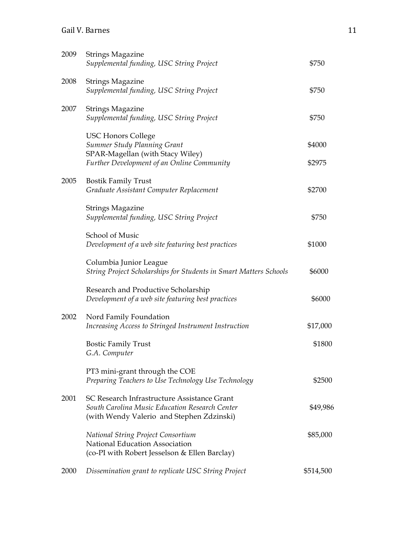# Gail V. Barnes 11

| 2009 | <b>Strings Magazine</b><br>Supplemental funding, USC String Project                                                                        | \$750            |
|------|--------------------------------------------------------------------------------------------------------------------------------------------|------------------|
| 2008 | <b>Strings Magazine</b><br>Supplemental funding, USC String Project                                                                        | \$750            |
| 2007 | <b>Strings Magazine</b><br>Supplemental funding, USC String Project                                                                        | \$750            |
|      | <b>USC Honors College</b><br>Summer Study Planning Grant<br>SPAR-Magellan (with Stacy Wiley)<br>Further Development of an Online Community | \$4000<br>\$2975 |
| 2005 | <b>Bostik Family Trust</b><br>Graduate Assistant Computer Replacement                                                                      | \$2700           |
|      | <b>Strings Magazine</b><br>Supplemental funding, USC String Project                                                                        | \$750            |
|      | School of Music<br>Development of a web site featuring best practices                                                                      | \$1000           |
|      | Columbia Junior League<br>String Project Scholarships for Students in Smart Matters Schools                                                | \$6000           |
|      | Research and Productive Scholarship<br>Development of a web site featuring best practices                                                  | \$6000           |
| 2002 | Nord Family Foundation<br>Increasing Access to Stringed Instrument Instruction                                                             | \$17,000         |
|      | <b>Bostic Family Trust</b><br>G.A. Computer                                                                                                | \$1800           |
|      | PT3 mini-grant through the COE<br>Preparing Teachers to Use Technology Use Technology                                                      | \$2500           |
| 2001 | SC Research Infrastructure Assistance Grant<br>South Carolina Music Education Research Center<br>(with Wendy Valerio and Stephen Zdzinski) | \$49,986         |
|      | <b>National String Project Consortium</b><br>National Education Association<br>(co-PI with Robert Jesselson & Ellen Barclay)               | \$85,000         |
| 2000 | Dissemination grant to replicate USC String Project                                                                                        | \$514,500        |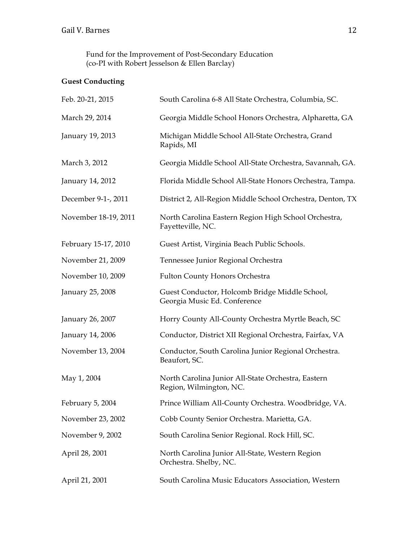Fund for the Improvement of Post-Secondary Education (co-PI with Robert Jesselson & Ellen Barclay)

# **Guest Conducting**

| Feb. 20-21, 2015     | South Carolina 6-8 All State Orchestra, Columbia, SC.                          |
|----------------------|--------------------------------------------------------------------------------|
| March 29, 2014       | Georgia Middle School Honors Orchestra, Alpharetta, GA                         |
| January 19, 2013     | Michigan Middle School All-State Orchestra, Grand<br>Rapids, MI                |
| March 3, 2012        | Georgia Middle School All-State Orchestra, Savannah, GA.                       |
| January 14, 2012     | Florida Middle School All-State Honors Orchestra, Tampa.                       |
| December 9-1-, 2011  | District 2, All-Region Middle School Orchestra, Denton, TX                     |
| November 18-19, 2011 | North Carolina Eastern Region High School Orchestra,<br>Fayetteville, NC.      |
| February 15-17, 2010 | Guest Artist, Virginia Beach Public Schools.                                   |
| November 21, 2009    | Tennessee Junior Regional Orchestra                                            |
| November 10, 2009    | <b>Fulton County Honors Orchestra</b>                                          |
| January 25, 2008     | Guest Conductor, Holcomb Bridge Middle School,<br>Georgia Music Ed. Conference |
| January 26, 2007     | Horry County All-County Orchestra Myrtle Beach, SC                             |
| January 14, 2006     | Conductor, District XII Regional Orchestra, Fairfax, VA                        |
| November 13, 2004    | Conductor, South Carolina Junior Regional Orchestra.<br>Beaufort, SC.          |
| May 1, 2004          | North Carolina Junior All-State Orchestra, Eastern<br>Region, Wilmington, NC.  |
| February 5, 2004     | Prince William All-County Orchestra. Woodbridge, VA.                           |
| November 23, 2002    | Cobb County Senior Orchestra. Marietta, GA.                                    |
| November 9, 2002     | South Carolina Senior Regional. Rock Hill, SC.                                 |
| April 28, 2001       | North Carolina Junior All-State, Western Region<br>Orchestra. Shelby, NC.      |
| April 21, 2001       | South Carolina Music Educators Association, Western                            |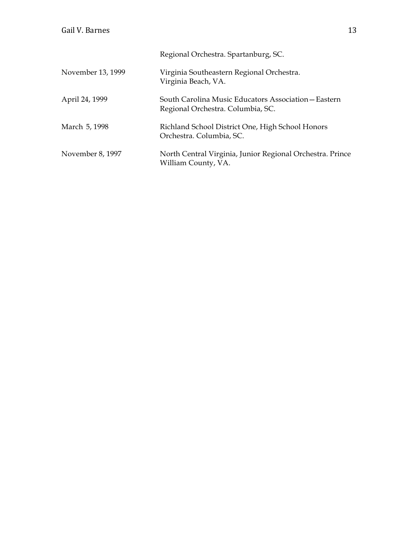|                   | Regional Orchestra. Spartanburg, SC.                                                      |
|-------------------|-------------------------------------------------------------------------------------------|
| November 13, 1999 | Virginia Southeastern Regional Orchestra.<br>Virginia Beach, VA.                          |
| April 24, 1999    | South Carolina Music Educators Association – Eastern<br>Regional Orchestra. Columbia, SC. |
| March 5, 1998     | Richland School District One, High School Honors<br>Orchestra. Columbia, SC.              |
| November 8, 1997  | North Central Virginia, Junior Regional Orchestra. Prince<br>William County, VA.          |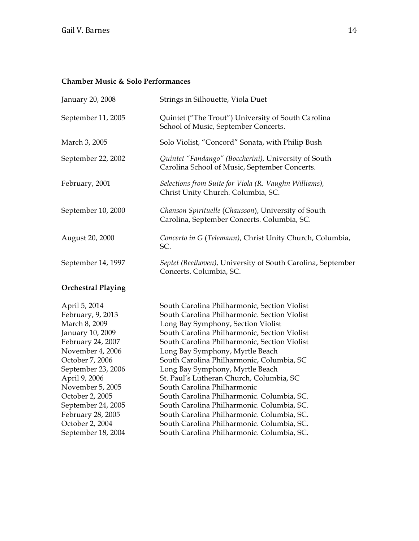# **Chamber Music & Solo Performances**

| January 20, 2008                                                                                                 | Strings in Silhouette, Viola Duet                                                                                                                                                                                                                                     |
|------------------------------------------------------------------------------------------------------------------|-----------------------------------------------------------------------------------------------------------------------------------------------------------------------------------------------------------------------------------------------------------------------|
| September 11, 2005                                                                                               | Quintet ("The Trout") University of South Carolina<br>School of Music, September Concerts.                                                                                                                                                                            |
| March 3, 2005                                                                                                    | Solo Violist, "Concord" Sonata, with Philip Bush                                                                                                                                                                                                                      |
| September 22, 2002                                                                                               | Quintet "Fandango" (Boccherini), University of South<br>Carolina School of Music, September Concerts.                                                                                                                                                                 |
| Selections from Suite for Viola (R. Vaughn Williams),<br>February, 2001<br>Christ Unity Church. Columbia, SC.    |                                                                                                                                                                                                                                                                       |
| September 10, 2000                                                                                               | Chanson Spirituelle (Chausson), University of South<br>Carolina, September Concerts. Columbia, SC.                                                                                                                                                                    |
| August 20, 2000                                                                                                  | Concerto in G (Telemann), Christ Unity Church, Columbia,<br>SC.                                                                                                                                                                                                       |
| September 14, 1997                                                                                               | Septet (Beethoven), University of South Carolina, September<br>Concerts. Columbia, SC.                                                                                                                                                                                |
| <b>Orchestral Playing</b>                                                                                        |                                                                                                                                                                                                                                                                       |
| April 5, 2014<br>February, 9, 2013<br>March 8, 2009<br>January 10, 2009<br>February 24, 2007<br>November 4, 2006 | South Carolina Philharmonic, Section Violist<br>South Carolina Philharmonic. Section Violist<br>Long Bay Symphony, Section Violist<br>South Carolina Philharmonic, Section Violist<br>South Carolina Philharmonic, Section Violist<br>Long Bay Symphony, Myrtle Beach |
| October 7, 2006<br>September 23, 2006<br>April 9, 2006<br>November 5, 2005<br>October 2, 2005                    | South Carolina Philharmonic, Columbia, SC<br>Long Bay Symphony, Myrtle Beach<br>St. Paul's Lutheran Church, Columbia, SC<br>South Carolina Philharmonic<br>South Carolina Philharmonic. Columbia, SC.                                                                 |
| September 24, 2005<br>February 28, 2005<br>October 2, 2004<br>September 18, 2004                                 | South Carolina Philharmonic. Columbia, SC.<br>South Carolina Philharmonic. Columbia, SC.<br>South Carolina Philharmonic. Columbia, SC.<br>South Carolina Philharmonic. Columbia, SC.                                                                                  |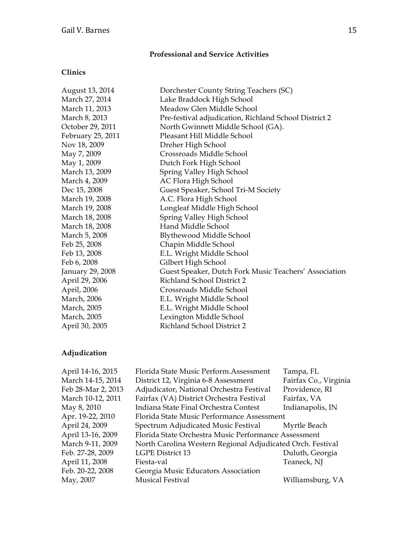# **Professional and Service Activities**

## **Clinics**

| August 13, 2014       | Dorchester County String Teachers (SC)                |
|-----------------------|-------------------------------------------------------|
| March 27, 2014        | Lake Braddock High School                             |
| March 11, 2013        | Meadow Glen Middle School                             |
| March 8, 2013         | Pre-festival adjudication, Richland School District 2 |
| October 29, 2011      | North Gwinnett Middle School (GA).                    |
| February 25, 2011     | Pleasant Hill Middle School                           |
| Nov 18, 2009          | Dreher High School                                    |
| May 7, 2009           | Crossroads Middle School                              |
| May 1, 2009           | Dutch Fork High School                                |
| March 13, 2009        | Spring Valley High School                             |
| March 4, 2009         | AC Flora High School                                  |
| Dec 15, 2008          | Guest Speaker, School Tri-M Society                   |
| March 19, 2008        | A.C. Flora High School                                |
| March 19, 2008        | Longleaf Middle High School                           |
| March 18, 2008        | Spring Valley High School                             |
| March 18, 2008        | Hand Middle School                                    |
| March 5 <i>,</i> 2008 | Blythewood Middle School                              |
| Feb 25, 2008          | Chapin Middle School                                  |
| Feb 13, 2008          | E.L. Wright Middle School                             |
| Feb 6, 2008           | Gilbert High School                                   |
| January 29, 2008      | Guest Speaker, Dutch Fork Music Teachers' Association |
| April 29, 2006        | Richland School District 2                            |
| April, 2006           | Crossroads Middle School                              |
| March, 2006           | E.L. Wright Middle School                             |
| March, 2005           | E.L. Wright Middle School                             |
| March, 2005           | Lexington Middle School                               |
| April 30, 2005        | Richland School District 2                            |

# **Adjudication**

| April 14-16, 2015  | Florida State Music Perform. Assessment                    | Tampa, FL             |
|--------------------|------------------------------------------------------------|-----------------------|
| March 14-15, 2014  | District 12, Virginia 6-8 Assessment                       | Fairfax Co., Virginia |
| Feb 28-Mar 2, 2013 | Adjudicator, National Orchestra Festival                   | Providence, RI        |
| March 10-12, 2011  | Fairfax (VA) District Orchestra Festival                   | Fairfax, VA           |
| May 8, 2010        | Indiana State Final Orchestra Contest                      | Indianapolis, IN      |
| Apr. 19-22, 2010   | Florida State Music Performance Assessment                 |                       |
| April 24, 2009     | Spectrum Adjudicated Music Festival                        | Myrtle Beach          |
| April 13-16, 2009  | Florida State Orchestra Music Performance Assessment       |                       |
| March 9-11, 2009   | North Carolina Western Regional Adjudicated Orch. Festival |                       |
| Feb. 27-28, 2009   | <b>LGPE District 13</b>                                    | Duluth, Georgia       |
| April 11, 2008     | Fiesta-val                                                 | Teaneck, NJ           |
| Feb. 20-22, 2008   | Georgia Music Educators Association                        |                       |
| May, 2007          | <b>Musical Festival</b>                                    | Williamsburg, VA      |
|                    |                                                            |                       |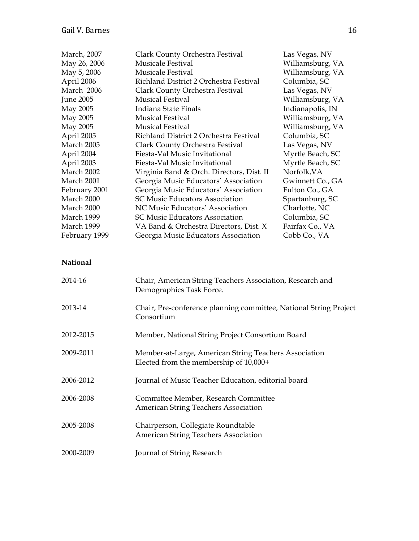| March, 2007<br>May 26, 2006<br>May 5, 2006<br>April 2006<br>March 2006<br>June 2005<br>May 2005<br>May 2005<br>May 2005 | Clark County Orchestra Festival<br><b>Musicale Festival</b><br><b>Musicale Festival</b><br>Richland District 2 Orchestra Festival<br>Clark County Orchestra Festival<br><b>Musical Festival</b><br>Indiana State Finals<br><b>Musical Festival</b><br><b>Musical Festival</b><br>Richland District 2 Orchestra Festival | Las Vegas, NV<br>Williamsburg, VA<br>Williamsburg, VA<br>Columbia, SC<br>Las Vegas, NV<br>Williamsburg, VA<br>Indianapolis, IN<br>Williamsburg, VA<br>Williamsburg, VA |
|-------------------------------------------------------------------------------------------------------------------------|-------------------------------------------------------------------------------------------------------------------------------------------------------------------------------------------------------------------------------------------------------------------------------------------------------------------------|------------------------------------------------------------------------------------------------------------------------------------------------------------------------|
| April 2005<br>March 2005                                                                                                | Clark County Orchestra Festival                                                                                                                                                                                                                                                                                         | Columbia, SC<br>Las Vegas, NV                                                                                                                                          |
| April 2004<br>April 2003                                                                                                | Fiesta-Val Music Invitational<br>Fiesta-Val Music Invitational                                                                                                                                                                                                                                                          | Myrtle Beach, SC<br>Myrtle Beach, SC                                                                                                                                   |
| March 2002                                                                                                              | Virginia Band & Orch. Directors, Dist. II                                                                                                                                                                                                                                                                               | Norfolk, VA                                                                                                                                                            |
| March 2001                                                                                                              | Georgia Music Educators' Association                                                                                                                                                                                                                                                                                    | Gwinnett Co., GA                                                                                                                                                       |
| February 2001                                                                                                           | Georgia Music Educators' Association                                                                                                                                                                                                                                                                                    | Fulton Co., GA                                                                                                                                                         |
| March 2000                                                                                                              | <b>SC Music Educators Association</b>                                                                                                                                                                                                                                                                                   | Spartanburg, SC                                                                                                                                                        |
| March 2000                                                                                                              | NC Music Educators' Association                                                                                                                                                                                                                                                                                         | Charlotte, NC                                                                                                                                                          |
| March 1999<br>March 1999                                                                                                | <b>SC Music Educators Association</b>                                                                                                                                                                                                                                                                                   | Columbia, SC<br>Fairfax Co., VA                                                                                                                                        |
| February 1999                                                                                                           | VA Band & Orchestra Directors, Dist. X<br>Georgia Music Educators Association                                                                                                                                                                                                                                           | Cobb Co., VA                                                                                                                                                           |
|                                                                                                                         |                                                                                                                                                                                                                                                                                                                         |                                                                                                                                                                        |
| <b>National</b>                                                                                                         |                                                                                                                                                                                                                                                                                                                         |                                                                                                                                                                        |
| 2014-16                                                                                                                 | Chair, American String Teachers Association, Research and<br>Demographics Task Force.                                                                                                                                                                                                                                   |                                                                                                                                                                        |
| 2013-14                                                                                                                 | Chair, Pre-conference planning committee, National String Project<br>Consortium                                                                                                                                                                                                                                         |                                                                                                                                                                        |
| 2012-2015                                                                                                               | Member, National String Project Consortium Board                                                                                                                                                                                                                                                                        |                                                                                                                                                                        |
| 2009-2011                                                                                                               | Member-at-Large, American String Teachers Association<br>Elected from the membership of 10,000+                                                                                                                                                                                                                         |                                                                                                                                                                        |
| 2006-2012                                                                                                               | Journal of Music Teacher Education, editorial board                                                                                                                                                                                                                                                                     |                                                                                                                                                                        |
| 2006-2008                                                                                                               | Committee Member, Research Committee<br>American String Teachers Association                                                                                                                                                                                                                                            |                                                                                                                                                                        |
| 2005-2008                                                                                                               | Chairperson, Collegiate Roundtable<br><b>American String Teachers Association</b>                                                                                                                                                                                                                                       |                                                                                                                                                                        |
| 2000-2009                                                                                                               | Journal of String Research                                                                                                                                                                                                                                                                                              |                                                                                                                                                                        |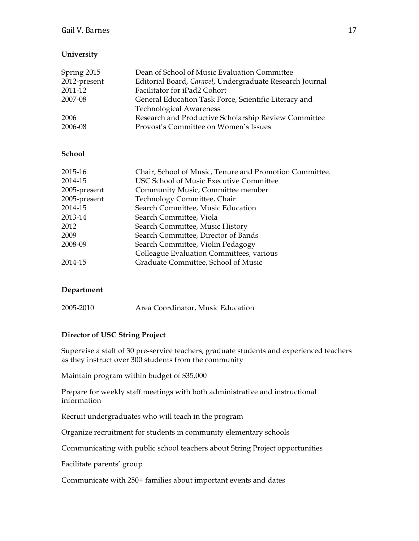# **University**

| Spring 2015  | Dean of School of Music Evaluation Committee             |
|--------------|----------------------------------------------------------|
| 2012-present | Editorial Board, Caravel, Undergraduate Research Journal |
| 2011-12      | Facilitator for iPad2 Cohort                             |
| 2007-08      | General Education Task Force, Scientific Literacy and    |
|              | <b>Technological Awareness</b>                           |
| 2006         | Research and Productive Scholarship Review Committee     |
| 2006-08      | Provost's Committee on Women's Issues                    |

## **School**

| 2015-16      | Chair, School of Music, Tenure and Promotion Committee. |
|--------------|---------------------------------------------------------|
| 2014-15      | USC School of Music Executive Committee                 |
| 2005-present | Community Music, Committee member                       |
| 2005-present | Technology Committee, Chair                             |
| 2014-15      | Search Committee, Music Education                       |
| 2013-14      | Search Committee, Viola                                 |
| 2012         | Search Committee, Music History                         |
| 2009         | Search Committee, Director of Bands                     |
| 2008-09      | Search Committee, Violin Pedagogy                       |
|              | Colleague Evaluation Committees, various                |
| 2014-15      | Graduate Committee, School of Music                     |

## **Department**

2005-2010 Area Coordinator, Music Education

## **Director of USC String Project**

Supervise a staff of 30 pre-service teachers, graduate students and experienced teachers as they instruct over 300 students from the community

Maintain program within budget of \$35,000

Prepare for weekly staff meetings with both administrative and instructional information

Recruit undergraduates who will teach in the program

Organize recruitment for students in community elementary schools

Communicating with public school teachers about String Project opportunities

Facilitate parents' group

Communicate with 250+ families about important events and dates